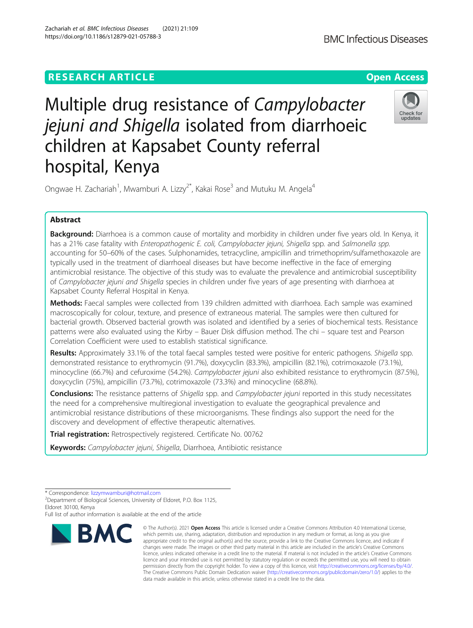# **RESEARCH ARTICLE Example 2014 12:30 The Contract of Contract ACCESS**

Multiple drug resistance of Campylobacter jejuni and Shigella isolated from diarrhoeic children at Kapsabet County referral hospital, Kenya

Ongwae H. Zachariah<sup>1</sup>, Mwamburi A. Lizzy<sup>2\*</sup>, Kakai Rose<sup>3</sup> and Mutuku M. Angela<sup>4</sup>

## Abstract

Background: Diarrhoea is a common cause of mortality and morbidity in children under five years old. In Kenya, it has a 21% case fatality with Enteropathogenic E. coli, Campylobacter jejuni, Shigella spp. and Salmonella spp. accounting for 50–60% of the cases. Sulphonamides, tetracycline, ampicillin and trimethoprim/sulfamethoxazole are typically used in the treatment of diarrhoeal diseases but have become ineffective in the face of emerging antimicrobial resistance. The objective of this study was to evaluate the prevalence and antimicrobial susceptibility of Campylobacter jejuni and Shigella species in children under five years of age presenting with diarrhoea at Kapsabet County Referral Hospital in Kenya.

Methods: Faecal samples were collected from 139 children admitted with diarrhoea. Each sample was examined macroscopically for colour, texture, and presence of extraneous material. The samples were then cultured for bacterial growth. Observed bacterial growth was isolated and identified by a series of biochemical tests. Resistance patterns were also evaluated using the Kirby – Bauer Disk diffusion method. The chi – square test and Pearson Correlation Coefficient were used to establish statistical significance.

Results: Approximately 33.1% of the total faecal samples tested were positive for enteric pathogens. Shigella spp. demonstrated resistance to erythromycin (91.7%), doxycyclin (83.3%), ampicillin (82.1%), cotrimoxazole (73.1%), minocycline (66.7%) and cefuroxime (54.2%). Campylobacter jejuni also exhibited resistance to erythromycin (87.5%), doxycyclin (75%), ampicillin (73.7%), cotrimoxazole (73.3%) and minocycline (68.8%).

Conclusions: The resistance patterns of Shigella spp. and Campylobacter jejuni reported in this study necessitates the need for a comprehensive multiregional investigation to evaluate the geographical prevalence and antimicrobial resistance distributions of these microorganisms. These findings also support the need for the discovery and development of effective therapeutic alternatives.

Trial registration: Retrospectively registered. Certificate No. 00762

Keywords: Campylobacter jejuni, Shigella, Diarrhoea, Antibiotic resistance

**BMC** 

Department of Biological Sciences, University of Eldoret, P.O. Box 1125, Eldoret 30100, Kenya



© The Author(s), 2021 **Open Access** This article is licensed under a Creative Commons Attribution 4.0 International License, which permits use, sharing, adaptation, distribution and reproduction in any medium or format, as long as you give





<sup>\*</sup> Correspondence: [lizzymwamburi@hotmail.com](mailto:lizzymwamburi@hotmail.com) <sup>2</sup>

Full list of author information is available at the end of the article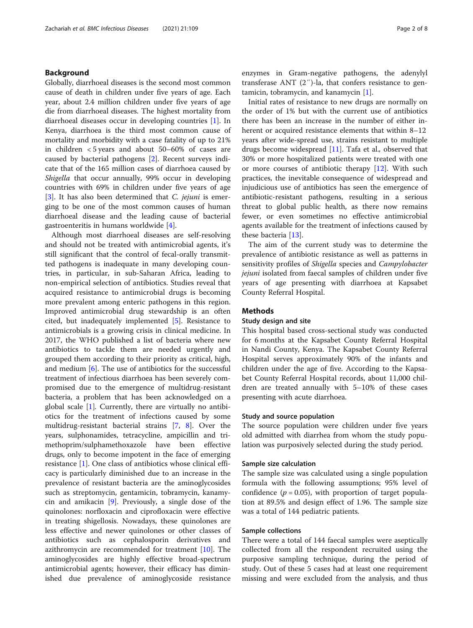## Background

Globally, diarrhoeal diseases is the second most common cause of death in children under five years of age. Each year, about 2.4 million children under five years of age die from diarrhoeal diseases. The highest mortality from diarrhoeal diseases occur in developing countries [[1\]](#page-6-0). In Kenya, diarrhoea is the third most common cause of mortality and morbidity with a case fatality of up to 21% in children < 5 years and about 50–60% of cases are caused by bacterial pathogens [\[2](#page-6-0)]. Recent surveys indicate that of the 165 million cases of diarrhoea caused by Shigella that occur annually, 99% occur in developing countries with 69% in children under five years of age [[3\]](#page-6-0). It has also been determined that *C. jejuni* is emerging to be one of the most common causes of human diarrhoeal disease and the leading cause of bacterial gastroenteritis in humans worldwide [\[4](#page-6-0)].

Although most diarrhoeal diseases are self-resolving and should not be treated with antimicrobial agents, it's still significant that the control of fecal-orally transmitted pathogens is inadequate in many developing countries, in particular, in sub-Saharan Africa, leading to non-empirical selection of antibiotics. Studies reveal that acquired resistance to antimicrobial drugs is becoming more prevalent among enteric pathogens in this region. Improved antimicrobial drug stewardship is an often cited, but inadequately implemented [[5\]](#page-6-0). Resistance to antimicrobials is a growing crisis in clinical medicine. In 2017, the WHO published a list of bacteria where new antibiotics to tackle them are needed urgently and grouped them according to their priority as critical, high, and medium  $[6]$  $[6]$ . The use of antibiotics for the successful treatment of infectious diarrhoea has been severely compromised due to the emergence of multidrug-resistant bacteria, a problem that has been acknowledged on a global scale [[1\]](#page-6-0). Currently, there are virtually no antibiotics for the treatment of infections caused by some multidrug-resistant bacterial strains [\[7,](#page-6-0) [8\]](#page-6-0). Over the years, sulphonamides, tetracycline, ampicillin and trimethoprim/sulphamethoxazole have been effective drugs, only to become impotent in the face of emerging resistance [[1\]](#page-6-0). One class of antibiotics whose clinical efficacy is particularly diminished due to an increase in the prevalence of resistant bacteria are the aminoglycosides such as streptomycin, gentamicin, tobramycin, kanamycin and amikacin [\[9](#page-6-0)]. Previously, a single dose of the quinolones: norfloxacin and ciprofloxacin were effective in treating shigellosis. Nowadays, these quinolones are less effective and newer quinolones or other classes of antibiotics such as cephalosporin derivatives and azithromycin are recommended for treatment [\[10](#page-6-0)]. The aminoglycosides are highly effective broad-spectrum antimicrobial agents; however, their efficacy has diminished due prevalence of aminoglycoside resistance

enzymes in Gram-negative pathogens, the adenylyl transferase ANT (2″)-la, that confers resistance to gentamicin, tobramycin, and kanamycin [\[1](#page-6-0)].

Initial rates of resistance to new drugs are normally on the order of 1% but with the current use of antibiotics there has been an increase in the number of either inherent or acquired resistance elements that within 8–12 years after wide-spread use, strains resistant to multiple drugs become widespread [[11\]](#page-6-0). Tafa et al., observed that 30% or more hospitalized patients were treated with one or more courses of antibiotic therapy [\[12\]](#page-6-0). With such practices, the inevitable consequence of widespread and injudicious use of antibiotics has seen the emergence of antibiotic-resistant pathogens, resulting in a serious threat to global public health, as there now remains fewer, or even sometimes no effective antimicrobial agents available for the treatment of infections caused by these bacteria [[13\]](#page-6-0).

The aim of the current study was to determine the prevalence of antibiotic resistance as well as patterns in sensitivity profiles of Shigella species and Campylobacter jejuni isolated from faecal samples of children under five years of age presenting with diarrhoea at Kapsabet County Referral Hospital.

## Methods

## Study design and site

This hospital based cross-sectional study was conducted for 6 months at the Kapsabet County Referral Hospital in Nandi County, Kenya. The Kapsabet County Referral Hospital serves approximately 90% of the infants and children under the age of five. According to the Kapsabet County Referral Hospital records, about 11,000 children are treated annually with 5–10% of these cases presenting with acute diarrhoea.

#### Study and source population

The source population were children under five years old admitted with diarrhea from whom the study population was purposively selected during the study period.

#### Sample size calculation

The sample size was calculated using a single population formula with the following assumptions; 95% level of confidence ( $p = 0.05$ ), with proportion of target population at 89.5% and design effect of 1.96. The sample size was a total of 144 pediatric patients.

## Sample collections

There were a total of 144 faecal samples were aseptically collected from all the respondent recruited using the purposive sampling technique, during the period of study. Out of these 5 cases had at least one requirement missing and were excluded from the analysis, and thus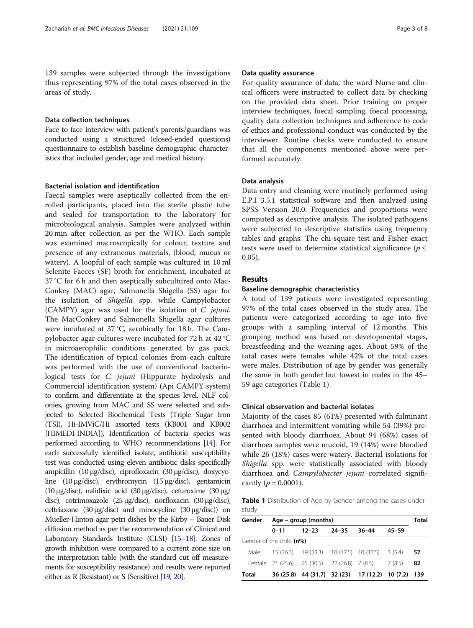139 samples were subjected through the investigations thus representing 97% of the total cases observed in the areas of study.

#### Data collection techniques

Face to face interview with patient's parents/guardians was conducted using a structured (closed-ended questions) questionnaire to establish baseline demographic characteristics that included gender, age and medical history.

## Bacterial isolation and identification

Faecal samples were aseptically collected from the enrolled participants, placed into the sterile plastic tube and sealed for transportation to the laboratory for microbiological analysis. Samples were analyzed within 20 min after collection as per the WHO. Each sample was examined macroscopically for colour, texture and presence of any extraneous materials, (blood, mucus or watery). A loopful of each sample was cultured in 10 ml Selenite Faeces (SF) broth for enrichment, incubated at 37 °C for 6 h and then aseptically subcultured onto Mac-Conkey (MAC) agar, Salmonella Shigella (SS) agar for the isolation of Shigella spp. while Campylobacter (CAMPY) agar was used for the isolation of C. jejuni. The MacConkey and Salmonella Shigella agar cultures were incubated at 37 °C, aerobically for 18 h. The Campylobacter agar cultures were incubated for 72 h at 42 °C in microaerophilic conditions generated by gas pack. The identification of typical colonies from each culture was performed with the use of conventional bacteriological tests for C. jejuni (Hippurate hydrolysis and Commercial identification system) (Api CAMPY system) to confirm and differentiate at the species level. NLF colonies, growing from MAC and SS were selected and subjected to Selected Biochemical Tests (Triple Sugar Iron (TSI), Hi-IMViC/Hi assorted tests (KB001 and KB002 [HIMEDI-INDIA]), Identification of bacteria species was performed according to WHO recommendations [\[14](#page-6-0)]. For each successfully identified isolate, antibiotic susceptibility test was conducted using eleven antibiotic disks specifically ampicillin (10 μg/disc), ciprofloxacin (30 μg/disc), doxycycline (10 μg/disc), erythromycin (15 μg/disc), gentamicin (10 μg/disc), nalidixic acid (30 μg/disc), cefuroxime (30 μg/ disc), cotrimoxazole (25 μg/disc), norfloxacin (30 μg/disc), ceftriaxone (30 μg/disc) and minocycline (30 μg/disc)) on Mueller-Hinton agar petri dishes by the Kirby – Bauer Disk diffusion method as per the recommendation of Clinical and Laboratory Standards Institute (CLSI) [\[15](#page-6-0)–[18](#page-6-0)]. Zones of growth inhibition were compared to a current zone size on the interpretation table (with the standard cut off measurements for susceptibility resistance) and results were reported either as R (Resistant) or S (Sensitive) [\[19](#page-6-0), [20\]](#page-6-0).

## Data quality assurance

For quality assurance of data, the ward Nurse and clinical officers were instructed to collect data by checking on the provided data sheet. Prior training on proper interview techniques, foecal sampling, foecal processing, quality data collection techniques and adherence to code of ethics and professional conduct was conducted by the interviewer. Routine checks were conducted to ensure that all the components mentioned above were performed accurately.

## Data analysis

Data entry and cleaning were routinely performed using E.P.I 3.5.1 statistical software and then analyzed using SPSS Version 20.0. Frequencies and proportions were computed as descriptive analysis. The isolated pathogens were subjected to descriptive statistics using frequency tables and graphs. The chi-square test and Fisher exact tests were used to determine statistical significance ( $p \leq$ 0.05).

#### Results

## Baseline demographic characteristics

A total of 139 patients were investigated representing 97% of the total cases observed in the study area. The patients were categorized according to age into five groups with a sampling interval of 12 months. This grouping method was based on developmental stages, breastfeeding and the weaning ages. About 59% of the total cases were females while 42% of the total cases were males. Distribution of age by gender was generally the same in both gender but lowest in males in the 45– 59 age categories (Table 1).

## Clinical observation and bacterial isolates

Majority of the cases 85 (61%) presented with fulminant diarrhoea and intermittent vomiting while 54 (39%) presented with bloody diarrhoea. About 94 (68%) cases of diarrhoea samples were mucoid, 19 (14%) were bloodied while 26 (18%) cases were watery. Bacterial isolations for Shigella spp. were statistically associated with bloody diarrhoea and Campylobacter jejuni correlated significantly ( $p = 0.0001$ ).

Table 1 Distribution of Age by Gender among the cases under study

| Gender | $Age - group (months)$   |                                                      |       |       |           |     |  |
|--------|--------------------------|------------------------------------------------------|-------|-------|-----------|-----|--|
|        | $0 - 11$                 | $12 - 23$                                            | 24–35 | 36–44 | $45 - 59$ |     |  |
|        | Gender of the child (n%) |                                                      |       |       |           |     |  |
|        |                          | Male 15 (26.3) 19 (33.3) 10 (17.5) 10 (17.5) 3 (5.4) |       |       |           | -57 |  |
|        |                          | Female 21 (25.6) 25 (30.5) 22 (26.8) 7 (8.5) 7 (8.5) |       |       |           | 82  |  |
| Total  |                          | 36 (25.8) 44 (31.7) 32 (23) 17 (12.2) 10 (7.2) 139   |       |       |           |     |  |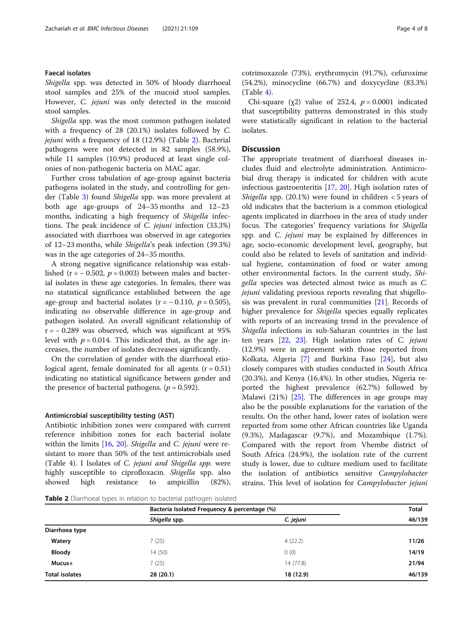## Faecal isolates

Shigella spp. was detected in 50% of bloody diarrhoeal stool samples and 25% of the mucoid stool samples. However, C. jejuni was only detected in the mucoid stool samples.

Shigella spp. was the most common pathogen isolated with a frequency of 28 (20.1%) isolates followed by C. jejuni with a frequency of 18 (12.9%) (Table 2). Bacterial pathogens were not detected in 82 samples (58.9%), while 11 samples (10.9%) produced at least single colonies of non-pathogenic bacteria on MAC agar.

Further cross tabulation of age-group against bacteria pathogens isolated in the study, and controlling for gender (Table [3](#page-4-0)) found Shigella spp. was more prevalent at both age age-groups of 24–35 months and 12–23 months, indicating a high frequency of Shigella infections. The peak incidence of C. jejuni infection (33.3%) associated with diarrhoea was observed in age categories of 12–23 months, while Shigella's peak infection (39.3%) was in the age categories of 24–35 months.

A strong negative significance relationship was established (r =  $-0.502$ , p = 0.003) between males and bacterial isolates in these age categories. In females, there was no statistical significance established between the age age-group and bacterial isolates ( $r = -0.110$ ,  $p = 0.505$ ), indicating no observable difference in age-group and pathogen isolated. An overall significant relationship of  $r = -0.289$  was observed, which was significant at 95% level with  $p = 0.014$ . This indicated that, as the age increases, the number of isolates decreases significantly.

On the correlation of gender with the diarrhoeal etiological agent, female dominated for all agents  $(r = 0.51)$ indicating no statistical significance between gender and the presence of bacterial pathogens. ( $p = 0.592$ ).

#### Antimicrobial susceptibility testing (AST)

Antibiotic inhibition zones were compared with current reference inhibition zones for each bacterial isolate within the limits [\[16](#page-6-0), [20](#page-6-0)]. Shigella and C. jejuni were resistant to more than 50% of the test antimicrobials used (Table [4\)](#page-4-0). I Isolates of C. jejuni and Shigella spp. were highly susceptible to ciprofloxacin. Shigella spp. also showed high resistance to ampicillin (82%), cotrimoxazole (73%), erythromycin (91.7%), cefuroxime (54.2%), minocycline (66.7%) and doxycycline (83.3%) (Table [4\)](#page-4-0).

Chi-square (x2) value of 252.4,  $p = 0.0001$  indicated that susceptibility patterns demonstrated in this study were statistically significant in relation to the bacterial isolates.

## **Discussion**

The appropriate treatment of diarrhoeal diseases includes fluid and electrolyte administration. Antimicrobial drug therapy is indicated for children with acute infectious gastroenteritis [\[17](#page-6-0), [20](#page-6-0)]. High isolation rates of Shigella spp.  $(20.1\%)$  were found in children < 5 years of old indicates that the bacterium is a common etiological agents implicated in diarrhoea in the area of study under focus. The categories' frequency variations for Shigella spp. and C. jejuni may be explained by differences in age, socio-economic development level, geography, but could also be related to levels of sanitation and individual hygiene, contamination of food or water among other environmental factors. In the current study, Shigella species was detected almost twice as much as C. *jejuni* validating previous reports revealing that shigellosis was prevalent in rural communities [[21\]](#page-6-0). Records of higher prevalence for Shigella species equally replicates with reports of an increasing trend in the prevalence of Shigella infections in sub-Saharan countries in the last ten years [\[22,](#page-6-0) [23](#page-6-0)]. High isolation rates of C. jejuni (12.9%) were in agreement with those reported from Kolkata, Algeria [\[7\]](#page-6-0) and Burkina Faso [\[24](#page-6-0)], but also closely compares with studies conducted in South Africa (20.3%), and Kenya (16.4%). In other studies, Nigeria reported the highest prevalence (62.7%) followed by Malawi (21%) [[25\]](#page-6-0). The differences in age groups may also be the possible explanations for the variation of the results. On the other hand, lower rates of isolation were reported from some other African countries like Uganda (9.3%), Madagascar (9.7%), and Mozambique (1.7%). Compared with the report from Vhembe district of South Africa (24.9%), the isolation rate of the current study is lower, due to culture medium used to facilitate the isolation of antibiotics sensitive Campylobacter strains. This level of isolation for *Campylobacter jejuni* 

Table 2 Diarrhoeal types in relation to bacterial pathogen isolated

|                       | Bacteria Isolated Frequency & percentage (%) | <b>Total</b> |        |
|-----------------------|----------------------------------------------|--------------|--------|
|                       | Shigella spp.                                | C. jejuni    | 46/139 |
| Diarrhoea type        |                                              |              |        |
| Watery                | 7(25)                                        | 4(22.2)      | 11/26  |
| <b>Bloody</b>         | 14(50)                                       | 0(0)         | 14/19  |
| Mucus+                | 7(25)                                        | 14 (77.8)    | 21/94  |
| <b>Total isolates</b> | 28(20.1)                                     | 18 (12.9)    | 46/139 |
|                       |                                              |              |        |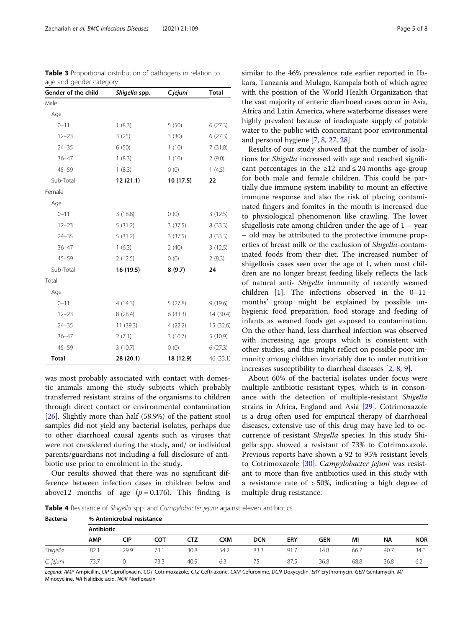| Gender of the child | Shigella spp. | C.jejuni  | <b>Total</b> |  |
|---------------------|---------------|-----------|--------------|--|
| Male                |               |           |              |  |
| Age                 |               |           |              |  |
| $0 - 11$            | 1(8.3)        | 5(50)     | 6(27.3)      |  |
| $12 - 23$           | 3(25)         | 3(30)     | 6(27.3)      |  |
| $24 - 35$           | 6(50)         | 1(10)     | 7(31.8)      |  |
| $36 - 47$           | 1(8.3)        | 1(10)     | 2(9.0)       |  |
| $45 - 59$           | 1(8.3)        | 0(0)      | 1(4.5)       |  |
| Sub-Total           | 12 (21.1)     | 10 (17.5) | 22           |  |
| Female              |               |           |              |  |
| Age                 |               |           |              |  |
| $0 - 11$            | 3(18.8)       | 0(0)      | 3(12.5)      |  |
| $12 - 23$           | 5(31.2)       | 3(37.5)   | 8(33.3)      |  |
| $24 - 35$           | 5(31.2)       | 3(37.5)   | 8(33.3)      |  |
| $36 - 47$           | 1(6.3)        | 2(40)     | 3(12.5)      |  |
| $45 - 59$           | 2(12.5)       | 0(0)      | 2(8.3)       |  |
| Sub-Total           | 16 (19.5)     | 8(9.7)    | 24           |  |
| Total               |               |           |              |  |
| Age                 |               |           |              |  |
| $0 - 11$            | 4(14.3)       | 5(27.8)   | 9(19.6)      |  |
| $12 - 23$           | 8(28.4)       | 6(33.3)   | 14 (30.4)    |  |
| $24 - 35$           | 11(39.3)      | 4(22.2)   | 15 (32.6)    |  |
| $36 - 47$           | 2(7.1)        | 3(16.7)   | 5(10.9)      |  |
| $45 - 59$           | 3(10.7)       | 0(0)      | 6(27.3)      |  |
| <b>Total</b>        | 28 (20.1)     | 18 (12.9) | 46 (33.1)    |  |

was most probably associated with contact with domestic animals among the study subjects which probably transferred resistant strains of the organisms to children through direct contact or environmental contamination [[26\]](#page-6-0). Slightly more than half (58.9%) of the patient stool samples did not yield any bacterial isolates, perhaps due to other diarrhoeal causal agents such as viruses that were not considered during the study, and/ or individual parents/guardians not including a full disclosure of antibiotic use prior to enrolment in the study.

Our results showed that there was no significant difference between infection cases in children below and above12 months of age  $(p = 0.176)$ . This finding is similar to the 46% prevalence rate earlier reported in Ifakara, Tanzania and Mulago, Kampala both of which agree with the position of the World Health Organization that the vast majority of enteric diarrhoeal cases occur in Asia, Africa and Latin America, where waterborne diseases were highly prevalent because of inadequate supply of potable water to the public with concomitant poor environmental and personal hygiene [[7,](#page-6-0) [8](#page-6-0), [27,](#page-7-0) [28\]](#page-7-0).

Results of our study showed that the number of isolations for Shigella increased with age and reached significant percentages in the  $\geq 12$  and  $\leq 24$  months age-group for both male and female children. This could be partially due immune system inability to mount an effective immune response and also the risk of placing contaminated fingers and fomites in the mouth is increased due to physiological phenomenon like crawling. The lower shigellosis rate among children under the age of 1 – year – old may be attributed to the protective immune properties of breast milk or the exclusion of Shigella-contaminated foods from their diet. The increased number of shigellosis cases seen over the age of 1, when most children are no longer breast feeding likely reflects the lack of natural anti- Shigella immunity of recently weaned children [[1\]](#page-6-0). The infections observed in the 0–11 months' group might be explained by possible unhygienic food preparation, food storage and feeding of infants as weaned foods get exposed to contamination. On the other hand, less diarrheal infection was observed with increasing age groups which is consistent with other studies, and this might reflect on possible poor immunity among children invariably due to under nutrition increases susceptibility to diarrheal diseases [\[2](#page-6-0), [8](#page-6-0), [9](#page-6-0)].

About 60% of the bacterial isolates under focus were multiple antibiotic resistant types, which is in consonance with the detection of multiple-resistant Shigella strains in Africa, England and Asia [\[29](#page-7-0)]. Cotrimoxazole is a drug often used for empirical therapy of diarrhoeal diseases, extensive use of this drug may have led to occurrence of resistant Shigella species. In this study Shigella spp. showed a resistant of 73% to Cotrimoxazole. Previous reports have shown a 92 to 95% resistant levels to Cotrimoxazole [[30\]](#page-7-0). Campylobacter jejuni was resistant to more than five antibiotics used in this study with a resistance rate of  $> 50\%$ , indicating a high degree of multiple drug resistance.

Table 4 Resistance of Shigella spp. and Campylobacter jejuni against eleven antibiotics

| <b>Bacteria</b> | % Antimicrobial resistance |            |      |      |      |            |            |      |      |           |            |
|-----------------|----------------------------|------------|------|------|------|------------|------------|------|------|-----------|------------|
|                 | <b>Antibiotic</b>          |            |      |      |      |            |            |      |      |           |            |
|                 | <b>AMP</b>                 | <b>CIP</b> | сот  | CTZ  | CXM  | <b>DCN</b> | <b>ERY</b> | GEN  | ΜI   | <b>NA</b> | <b>NOR</b> |
| Shigella        | 82.1                       | 29.9       | 73.1 | 30.8 | 54.2 | 83.3       | 91.7       | 14.8 | 66.7 | 40.7      | 34.6       |
| C. jejuni       | 73.7                       |            | 73.3 | 40.9 | 6.3  | 75         | 87.5       | 36.8 | 68.8 | 36.8      | 6.2        |

Legend: AMP Ampicillin, CIP Ciprofloxacin, COT Cotrimoxazole, CTZ Ceftriaxone, CXM Cefuroxime, DCN Doxycyclin, ERY Erythromycin, GEN Gentamycin, MI Minocycline, NA Nalidixic acid, NOR Norfloxacin

<span id="page-4-0"></span>

| <b>Table 3</b> Proportional distribution of pathogens in relation to |
|----------------------------------------------------------------------|
| age and gender category                                              |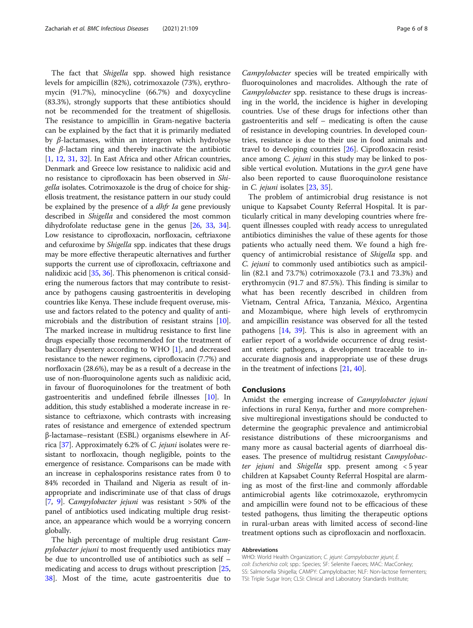The fact that *Shigella* spp. showed high resistance levels for ampicillin (82%), cotrimoxazole (73%), erythromycin (91.7%), minocycline (66.7%) and doxycycline (83.3%), strongly supports that these antibiotics should not be recommended for the treatment of shigellosis. The resistance to ampicillin in Gram-negative bacteria can be explained by the fact that it is primarily mediated by β-lactamases, within an intergron which hydrolyse the  $\beta$ -lactam ring and thereby inactivate the antibiotic [[1,](#page-6-0) [12,](#page-6-0) [31](#page-7-0), [32](#page-7-0)]. In East Africa and other African countries, Denmark and Greece low resistance to nalidixic acid and no resistance to ciprofloxacin has been observed in Shigella isolates. Cotrimoxazole is the drug of choice for shigellosis treatment, the resistance pattern in our study could be explained by the presence of a *dhfr Ia* gene previously described in Shigella and considered the most common dihydrofolate reductase gene in the genus [\[26,](#page-6-0) [33,](#page-7-0) [34](#page-7-0)]. Low resistance to ciprofloxacin, norfloxacin, ceftriaxone and cefuroxime by *Shigella* spp. indicates that these drugs may be more effective therapeutic alternatives and further supports the current use of ciprofloxacin, ceftriaxone and nalidixic acid [[35](#page-7-0), [36\]](#page-7-0). This phenomenon is critical considering the numerous factors that may contribute to resistance by pathogens causing gastroenteritis in developing countries like Kenya. These include frequent overuse, misuse and factors related to the potency and quality of antimicrobials and the distribution of resistant strains [[10](#page-6-0)]. The marked increase in multidrug resistance to first line drugs especially those recommended for the treatment of bacillary dysentery according to WHO [\[1\]](#page-6-0), and decreased resistance to the newer regimens, ciprofloxacin (7.7%) and norfloxacin (28.6%), may be as a result of a decrease in the use of non-fluoroquinolone agents such as nalidixic acid, in favour of fluoroquinolones for the treatment of both gastroenteritis and undefined febrile illnesses [[10](#page-6-0)]. In addition, this study established a moderate increase in resistance to ceftriaxone, which contrasts with increasing rates of resistance and emergence of extended spectrum β-lactamase–resistant (ESBL) organisms elsewhere in Africa [\[37\]](#page-7-0). Approximately 6.2% of C. jejuni isolates were resistant to norfloxacin, though negligible, points to the emergence of resistance. Comparisons can be made with an increase in cephalosporins resistance rates from 0 to 84% recorded in Thailand and Nigeria as result of inappropriate and indiscriminate use of that class of drugs [[7,](#page-6-0) [9](#page-6-0)]. Campylobacter jejuni was resistant > 50% of the panel of antibiotics used indicating multiple drug resistance, an appearance which would be a worrying concern globally.

The high percentage of multiple drug resistant Campylobacter jejuni to most frequently used antibiotics may be due to uncontrolled use of antibiotics such as self – medicating and access to drugs without prescription [[25](#page-6-0), [38\]](#page-7-0). Most of the time, acute gastroenteritis due to

Campylobacter species will be treated empirically with fluoroquinolones and macrolides. Although the rate of Campylobacter spp. resistance to these drugs is increasing in the world, the incidence is higher in developing countries. Use of these drugs for infections other than gastroenteritis and self – medicating is often the cause of resistance in developing countries. In developed countries, resistance is due to their use in food animals and travel to developing countries [[26\]](#page-6-0). Ciprofloxacin resistance among *C. jejuni* in this study may be linked to possible vertical evolution. Mutations in the  $gyrA$  gene have also been reported to cause fluoroquinolone resistance in C. jejuni isolates [[23,](#page-6-0) [35\]](#page-7-0).

The problem of antimicrobial drug resistance is not unique to Kapsabet County Referral Hospital. It is particularly critical in many developing countries where frequent illnesses coupled with ready access to unregulated antibiotics diminishes the value of these agents for those patients who actually need them. We found a high frequency of antimicrobial resistance of Shigella spp. and C. jejuni to commonly used antibiotics such as ampicillin (82.1 and 73.7%) cotrimoxazole (73.1 and 73.3%) and erythromycin (91.7 and 87.5%). This finding is similar to what has been recently described in children from Vietnam, Central Africa, Tanzania, México, Argentina and Mozambique, where high levels of erythromycin and ampicillin resistance was observed for all the tested pathogens [\[14](#page-6-0), [39\]](#page-7-0). This is also in agreement with an earlier report of a worldwide occurrence of drug resistant enteric pathogens, a development traceable to inaccurate diagnosis and inappropriate use of these drugs in the treatment of infections [\[21,](#page-6-0) [40\]](#page-7-0).

## Conclusions

Amidst the emerging increase of Campylobacter jejuni infections in rural Kenya, further and more comprehensive multiregional investigations should be conducted to determine the geographic prevalence and antimicrobial resistance distributions of these microorganisms and many more as causal bacterial agents of diarrhoeal diseases. The presence of multidrug resistant Campylobacter jejuni and Shigella spp. present among < 5 year children at Kapsabet County Referral Hospital are alarming as most of the first-line and commonly affordable antimicrobial agents like cotrimoxazole, erythromycin and ampicillin were found not to be efficacious of these tested pathogens, thus limiting the therapeutic options in rural-urban areas with limited access of second-line treatment options such as ciprofloxacin and norfloxacin.

#### Abbreviations

WHO: World Health Organization; C. jejuni: Campylobacter jejuni; E. coli: Escherichia coli; spp.: Species; SF: Selenite Faeces; MAC: MacConkey; SS: Salmonella Shigella; CAMPY: Campylobacter; NLF: Non-lactose fermenters; TSI: Triple Sugar Iron; CLSI: Clinical and Laboratory Standards Institute;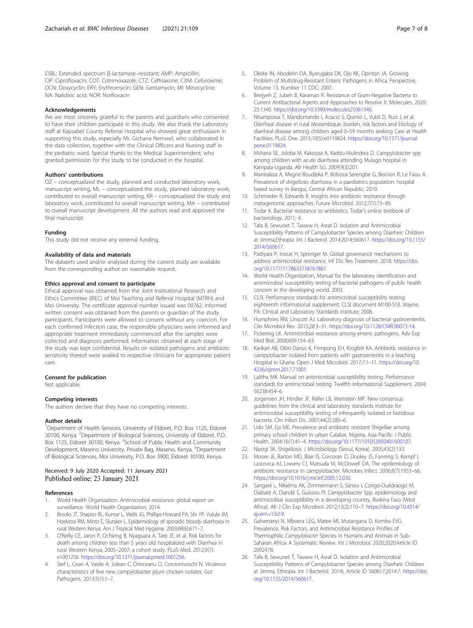<span id="page-6-0"></span>ESBL: Extended spectrum β-lactamase–resistant; AMP: Ampicillin; CIP: Ciprofloxacin; COT: Cotrimoxazole; CTZ: Ceftriaxone; CXM: Cefuroxime; DCN: Doxycyclin; ERY: Erythromycin; GEN: Gentamycin; MI: Minocycline; NA: Nalidixic acid; NOR: Norfloxacin

#### Acknowledgements

We are most sincerely grateful to the parents and guardians who consented to have their children participate in this study. We also thank the Laboratory staff at Kapsabet County Referral Hospital who showed great enthusiasm in supporting this study, especially Mr. Gichana Nemwel, who collaborated in the data collection, together with the Clinical Officers and Nursing staff in the pediatric ward. Special thanks to the Medical Superintendent, who granted permission for this study to be conducted in the hospital.

#### Authors' contributions

OZ – conceptualized the study, planned and conducted laboratory work, manuscript writing, ML – conceptualized the study, planned laboratory work, contributed to overall manuscript writing, KR – conceptualized the study and laboratory work, contributed to overall manuscript writing, MA – contributed to overall manuscript development. All the authors read and approved the final manuscript.

#### Funding

This study did not receive any external funding.

#### Availability of data and materials

The datasets used and/or analysed during the current study are available from the corresponding author on reasonable request.

#### Ethics approval and consent to participate

Ethical approval was obtained from the Joint Institutional Research and Ethics Committee (IREC) of Moi Teaching and Referral Hospital (MTRH) and Moi University. The certificate approval number issued was 00762. Informed written consent was obtained from the parents or guardian of the study participants. Participants were allowed to consent without any coercion. For each confirmed infection case, the responsible physicians were informed and appropriate treatment immediately commenced after the samples were collected and diagnosis performed. Information obtained at each stage of the study was kept confidential. Results on isolated pathogens and antibiotic sensitivity thereof were availed to respective clinicians for appropriate patient care.

#### Consent for publication

Not applicable.

#### Competing interests

The authors declare that they have no competing interests.

#### Author details

<sup>1</sup>Department of Health Services, University of Eldoret, P.O. Box 1125, Eldoret 30100, Kenya. <sup>2</sup>Department of Biological Sciences, University of Eldoret, P.O. Box 1125, Eldoret 30100, Kenya. <sup>3</sup>School of Public Health and Community Development, Maseno University, Private Bag, Maseno, Kenya. <sup>4</sup>Department of Biological Sciences, Moi University, P.O. Box 3900, Eldoret 30100, Kenya.

## Received: 9 July 2020 Accepted: 11 January 2021 Published online: 23 January 2021

#### References

- 1. World Health Organization. Antimicrobial resistance: global report on surveillance. World Health Organization; 2014.
- 2. Brooks JT, Shapiro RL, Kumar L, Wells JG, Phillips-Howard PA, Shi YP, Vulule JM, Hoekstra RM, Mintz E, Slutsker L. Epidemiology of sporadic bloody diarrhoea in rural Western Kenya. Am J Tropical Med Hygiene. 2003;68(6):671–7.
- 3. O'Reilly CE, Jaron P, Ochieng B, Nyaguara A, Tate JE, et al. Risk factors for death among children less than 5 years old hospitalized with Diarrhea in rural Western Kenya, 2005–2007: a cohort study. PLoS Med. 2012;9(7): e1001256. <https://doi.org/10.1371/journal.pmed.1001256>.
- Stef L, Cean A, Vasile A, Julean C, Drinceanu D, Corcionivoschi N. Virulence characteristics of five new campylobacter jejuni chicken isolates. Gut Pathogens. 2013;5(1):1–7.
- 5. Okeke IN, Aboderin OA, Byarugaba DK, Ojo KK, Opintan JA. Growing Problem of Multidrug-Resistant Enteric Pathogens in Africa. Perspective, Volume 13, Number 11 CDC; 2007.
- 6. Breijyeh Z, Jubeh B, Karaman R. Resistance of Gram-Negative Bacteria to Current Antibacterial Agents and Approaches to Resolve It. Molecules. 2020; 25:1340. <https://doi.org/10.3390/molecules25061340>.
- 7. Nhampossa T, Mandomando I, Acacio S, Quintó L, Vubil D, Ruiz J, et al. Diarrheal disease in rural Mozambique: burden, risk factors and Etiology of diarrheal disease among children aged 0–59 months seeking Care at Health Facilities. PLoS One. 2015;10(5):e0119824. [https://doi.org/10.1371/journal.](https://doi.org/10.1371/journal.pone.0119824) [pone.0119824.](https://doi.org/10.1371/journal.pone.0119824)
- 8. Mshana SE, Joloba M, Kakooza A, Kaddu-Mulindwa D. Campylobacter spp among children with acute diarrhoea attending Mulago hospital in Kampala-Uganda. Afr Health Sci. 2009;9(3):201.
- 9. Manirakiza A, Megne-Boudjeka P, Bobossi-Serengbe G, Bercion R, Le Faou A. Prevalence of shigellosis diarrhoea in a paediatrics population: hospital based survey in Bangui, Central African Republic; 2010.
- 10. Schmieder R, Edwards R. Insights into antibiotic resistance through metagenomic approaches. Future Microbiol. 2012;7(1):73–89.
- 11. Todar K. Bacterial resistance to antibiotics. Todar's online textbook of bacteriology. 2011; 4.
- 12. Tafa B, Sewunet T, Tassew H, Asrat D. Isolation and Antimicrobial Susceptibility Patterns of Campylobacter Species among Diarrheic Children at Jimma,Ethiopia. Int J Bacteriol. 2014;2014:560617. [https://doi.org/10.1155/](https://doi.org/10.1155/2014/560617) [2014/560617](https://doi.org/10.1155/2014/560617).
- 13. Padiyara P, Inoue H, Sprenger M. Global governance mechanisms to address antimicrobial resistance. Inf Dis: Res Treatment. 2018. [https://doi.](https://doi.org/10.1177/1178633718767887) [org/10.1177/1178633718767887.](https://doi.org/10.1177/1178633718767887)
- 14. World Health Organization, Manual for the laboratory identification and antimicrobial susceptibility testing of bacterial pathogens of public health concern in the developing world. 2003.
- 15. CLSI. Performance standards for antimicrobial susceptibility testing; eighteenth informational supplement. CLSI document M100-S18. Wayne, PA: Clinical and Laboratory Standards Institute; 2008.
- 16. Humphries RM, Linscott AJ. Laboratory diagnosis of bacterial gastroenteritis. Clin Microbiol Rev. 2015;28:3–31. <https://doi.org/10.1128/CMR.00073-14>.
- 17. Pickering LK. Antimicrobial resistance among enteric pathogens. Adv Exp Med Biol. 2008;609:154–63.
- 18. Karikari AB, Obiri-Danso K, Frimpong EH, Krogfelt KA. Antibiotic resistance in campylobacter isolated from patients with gastroenteritis in a teaching Hospital in Ghana. Open J Med Microbiol. 2017;7:1–11. [https://doi.org/10.](https://doi.org/10.4236/ojmm.2017.71001) [4236/ojmm.2017.71001.](https://doi.org/10.4236/ojmm.2017.71001)
- 19. Lalitha MK. Manual on antimicrobial susceptibility testing. Performance standards for antimicrobial testing: Twelfth Informational Supplement. 2004; 56238:454–6.
- 20. Jorgensen JH, Hindler JF, Reller LB, Weinstein MP. New consensus guidelines from the clinical and laboratory standards institute for antimicrobial susceptibility testing of infrequently isolated or fastidious bacteria. Clin Infect Dis. 2007;44(2):280–6.
- 21. Udo SM, Eja ME. Prevalence and antibiotic resistant Shigellae among primary school children in urban Calabar, Nigeria. Asia Pacific J Public Health. 2004;16(1):41–4. <https://doi.org/10.1177/101053950401600107>.
- 22. Niyogi SK. Shigellosis. J Microbiology (Seoul, Korea). 2005;43(2):133.
- 23. Moore JE, Barton MD, Blair IS, Corcoran D, Dooley JS, Fanning S, Kempf I, Lastovica AJ, Lowery CJ, Matsuda M, McDowell DA. The epidemiology of antibiotic resistance in campylobacter. Microbes Infect. 2006;8(7):1955–66. <https://doi.org/10.1016/j.micinf.2005.12.030>.
- 24. Sangaré L, Nikiéma AK, Zimmermann S, Sanou I, Congo-Ouédraogo M, Diabaté A, Diandé S, Guissou PI. Campylobacter Spp. epidemiology and antimicrobial susceptibility in a developing country, Burkina Faso (West Africa). Afr J Clin Exp Microbiol. 2012;13(2):110–7. [https://doi.org/10.4314/](https://doi.org/10.4314/ajcem.v13i2.9) aicem.v13i2.9.
- 25. Gahamanyi N, Mboera LEG, Matee MI, Mutangana D, Komba EVG. Prevalence, Risk Factors, and Antimicrobial Resistance Profiles of Thermophilic Campylobacter Species in Humans and Animals in Sub-Saharan Africa: A Systematic Review. Int J Microbiol. 2020;2020:Article ID 2092478.
- 26. Tafa B, Sewunet T, Tassew H, Asrat D. Isolation and Antimicrobial Susceptibility Patterns of Campylobacter Species among Diarrheic Children at Jimma, Ethiopia. Int J Bacteriol. 2014), Article ID 560617;2014:7. [https://doi.](https://doi.org/10.1155/2014/560617) [org/10.1155/2014/560617.](https://doi.org/10.1155/2014/560617)